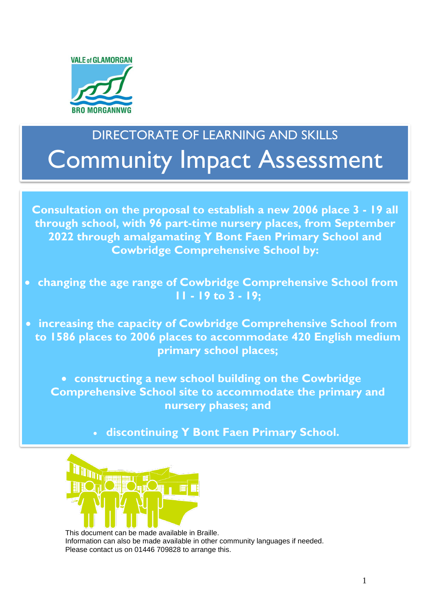

# DIRECTORATE OF LEARNING AND SKILLS Community Impact Assessment

**Consultation on the proposal to establish a new 2006 place 3 - 19 all through school, with 96 part-time nursery places, from September 2022 through amalgamating Y Bont Faen Primary School and Cowbridge Comprehensive School by:**

 **changing the age range of Cowbridge Comprehensive School from 11 - 19 to 3 - 19;** 

 **to 1586 places to 2006 places to accommodate 420 English medium increasing the capacity of Cowbridge Comprehensive School from primary school places;**

 **constructing a new school building on the Cowbridge Comprehensive School site to accommodate the primary and nursery phases; and**

**discontinuing Y Bont Faen Primary School.**



This document can be made available in Braille. Information can also be made available in other community languages if needed. Please contact us on 01446 709828 to arrange this.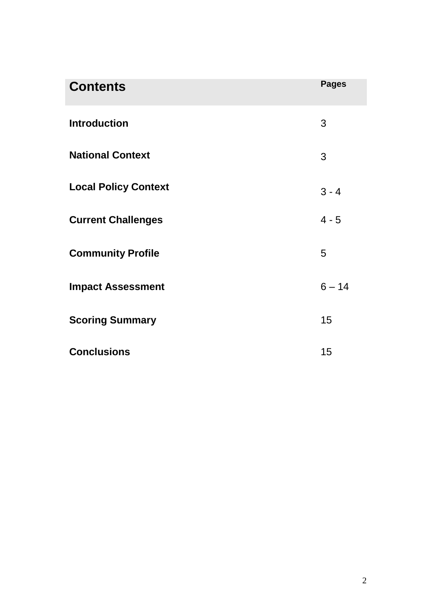| <b>Contents</b>             | <b>Pages</b> |
|-----------------------------|--------------|
| <b>Introduction</b>         | 3            |
| <b>National Context</b>     | 3            |
| <b>Local Policy Context</b> | $3 - 4$      |
| <b>Current Challenges</b>   | $4 - 5$      |
| <b>Community Profile</b>    | 5            |
| <b>Impact Assessment</b>    | $6 - 14$     |
| <b>Scoring Summary</b>      | 15           |
| <b>Conclusions</b>          | 15           |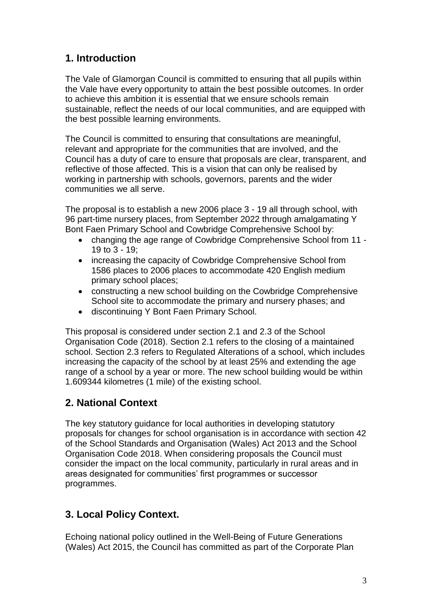# **1. Introduction**

The Vale of Glamorgan Council is committed to ensuring that all pupils within the Vale have every opportunity to attain the best possible outcomes. In order to achieve this ambition it is essential that we ensure schools remain sustainable, reflect the needs of our local communities, and are equipped with the best possible learning environments.

The Council is committed to ensuring that consultations are meaningful, relevant and appropriate for the communities that are involved, and the Council has a duty of care to ensure that proposals are clear, transparent, and reflective of those affected. This is a vision that can only be realised by working in partnership with schools, governors, parents and the wider communities we all serve.

The proposal is to establish a new 2006 place 3 - 19 all through school, with 96 part-time nursery places, from September 2022 through amalgamating Y Bont Faen Primary School and Cowbridge Comprehensive School by:

- changing the age range of Cowbridge Comprehensive School from 11 19 to 3 - 19;
- increasing the capacity of Cowbridge Comprehensive School from 1586 places to 2006 places to accommodate 420 English medium primary school places;
- constructing a new school building on the Cowbridge Comprehensive School site to accommodate the primary and nursery phases; and
- discontinuing Y Bont Faen Primary School.

This proposal is considered under section 2.1 and 2.3 of the School Organisation Code (2018). Section 2.1 refers to the closing of a maintained school. Section 2.3 refers to Regulated Alterations of a school, which includes increasing the capacity of the school by at least 25% and extending the age range of a school by a year or more. The new school building would be within 1.609344 kilometres (1 mile) of the existing school.

### **2. National Context**

The key statutory guidance for local authorities in developing statutory proposals for changes for school organisation is in accordance with section 42 of the School Standards and Organisation (Wales) Act 2013 and the School Organisation Code 2018. When considering proposals the Council must consider the impact on the local community, particularly in rural areas and in areas designated for communities' first programmes or successor programmes.

# **3. Local Policy Context.**

Echoing national policy outlined in the Well-Being of Future Generations (Wales) Act 2015, the Council has committed as part of the Corporate Plan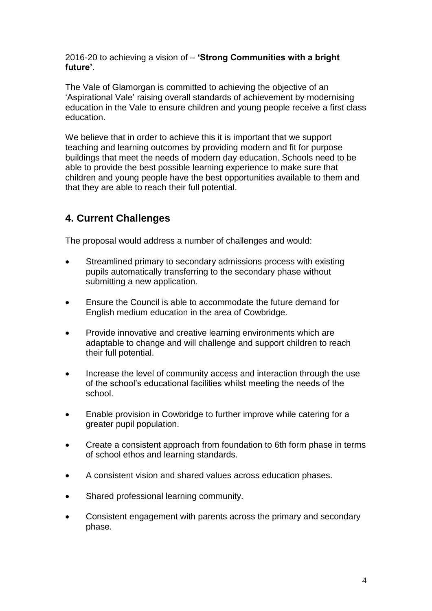2016-20 to achieving a vision of – **'Strong Communities with a bright future'**.

The Vale of Glamorgan is committed to achieving the objective of an 'Aspirational Vale' raising overall standards of achievement by modernising education in the Vale to ensure children and young people receive a first class education.

We believe that in order to achieve this it is important that we support teaching and learning outcomes by providing modern and fit for purpose buildings that meet the needs of modern day education. Schools need to be able to provide the best possible learning experience to make sure that children and young people have the best opportunities available to them and that they are able to reach their full potential.

## **4. Current Challenges**

The proposal would address a number of challenges and would:

- Streamlined primary to secondary admissions process with existing pupils automatically transferring to the secondary phase without submitting a new application.
- Ensure the Council is able to accommodate the future demand for English medium education in the area of Cowbridge.
- Provide innovative and creative learning environments which are adaptable to change and will challenge and support children to reach their full potential.
- Increase the level of community access and interaction through the use of the school's educational facilities whilst meeting the needs of the school.
- Enable provision in Cowbridge to further improve while catering for a greater pupil population.
- Create a consistent approach from foundation to 6th form phase in terms of school ethos and learning standards.
- A consistent vision and shared values across education phases.
- Shared professional learning community.
- Consistent engagement with parents across the primary and secondary phase.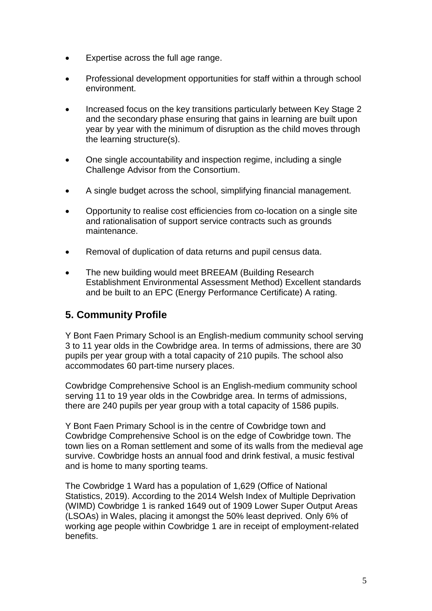- Expertise across the full age range.
- Professional development opportunities for staff within a through school environment.
- Increased focus on the key transitions particularly between Key Stage 2 and the secondary phase ensuring that gains in learning are built upon year by year with the minimum of disruption as the child moves through the learning structure(s).
- One single accountability and inspection regime, including a single Challenge Advisor from the Consortium.
- A single budget across the school, simplifying financial management.
- Opportunity to realise cost efficiencies from co-location on a single site and rationalisation of support service contracts such as grounds maintenance.
- Removal of duplication of data returns and pupil census data.
- The new building would meet BREEAM (Building Research Establishment Environmental Assessment Method) Excellent standards and be built to an EPC (Energy Performance Certificate) A rating.

# **5. Community Profile**

Y Bont Faen Primary School is an English-medium community school serving 3 to 11 year olds in the Cowbridge area. In terms of admissions, there are 30 pupils per year group with a total capacity of 210 pupils. The school also accommodates 60 part-time nursery places.

Cowbridge Comprehensive School is an English-medium community school serving 11 to 19 year olds in the Cowbridge area. In terms of admissions, there are 240 pupils per year group with a total capacity of 1586 pupils.

Y Bont Faen Primary School is in the centre of Cowbridge town and Cowbridge Comprehensive School is on the edge of Cowbridge town. The town lies on a Roman settlement and some of its walls from the medieval age survive. Cowbridge hosts an annual food and drink festival, a music festival and is home to many sporting teams.

The Cowbridge 1 Ward has a population of 1,629 (Office of National Statistics, 2019). According to the 2014 Welsh Index of Multiple Deprivation (WIMD) Cowbridge 1 is ranked 1649 out of 1909 Lower Super Output Areas (LSOAs) in Wales, placing it amongst the 50% least deprived. Only 6% of working age people within Cowbridge 1 are in receipt of employment-related benefits.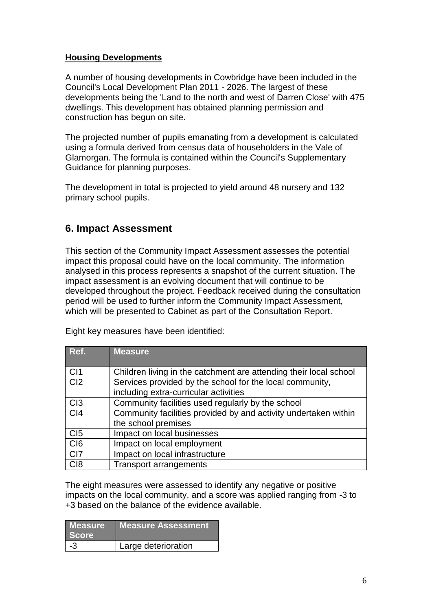#### **Housing Developments**

A number of housing developments in Cowbridge have been included in the Council's Local Development Plan 2011 - 2026. The largest of these developments being the 'Land to the north and west of Darren Close' with 475 dwellings. This development has obtained planning permission and construction has begun on site.

The projected number of pupils emanating from a development is calculated using a formula derived from census data of householders in the Vale of Glamorgan. The formula is contained within the Council's Supplementary Guidance for planning purposes.

The development in total is projected to yield around 48 nursery and 132 primary school pupils.

#### **6. Impact Assessment**

This section of the Community Impact Assessment assesses the potential impact this proposal could have on the local community. The information analysed in this process represents a snapshot of the current situation. The impact assessment is an evolving document that will continue to be developed throughout the project. Feedback received during the consultation period will be used to further inform the Community Impact Assessment, which will be presented to Cabinet as part of the Consultation Report.

| Ref.            | <b>Measure</b>                                                    |  |  |  |
|-----------------|-------------------------------------------------------------------|--|--|--|
|                 |                                                                   |  |  |  |
| CI1             | Children living in the catchment are attending their local school |  |  |  |
| Cl <sub>2</sub> | Services provided by the school for the local community,          |  |  |  |
|                 | including extra-curricular activities                             |  |  |  |
| C13             | Community facilities used regularly by the school                 |  |  |  |
| C <sub>14</sub> | Community facilities provided by and activity undertaken within   |  |  |  |
|                 | the school premises                                               |  |  |  |
| C <sub>I5</sub> | Impact on local businesses                                        |  |  |  |
| C <sub>I6</sub> | Impact on local employment                                        |  |  |  |
| CI7             | Impact on local infrastructure                                    |  |  |  |
| C <sub>18</sub> | <b>Transport arrangements</b>                                     |  |  |  |

The eight measures were assessed to identify any negative or positive impacts on the local community, and a score was applied ranging from -3 to +3 based on the balance of the evidence available.

| <b>Measure</b><br><b>Score</b> | <b>Measure Assessment</b> |
|--------------------------------|---------------------------|
| -3                             | Large deterioration       |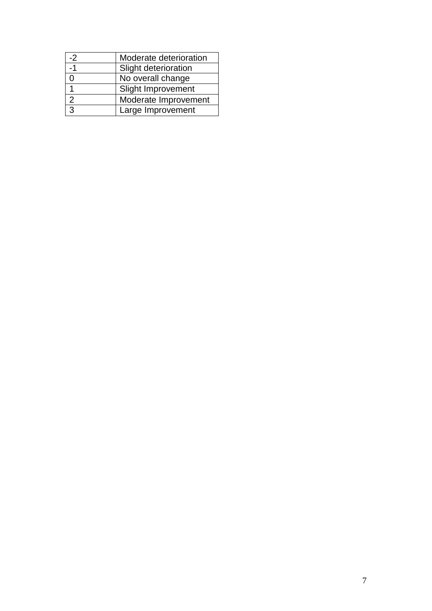| $-2$          | Moderate deterioration    |
|---------------|---------------------------|
| -1            | Slight deterioration      |
|               | No overall change         |
|               | <b>Slight Improvement</b> |
| $\mathcal{P}$ | Moderate Improvement      |
| J.            | Large Improvement         |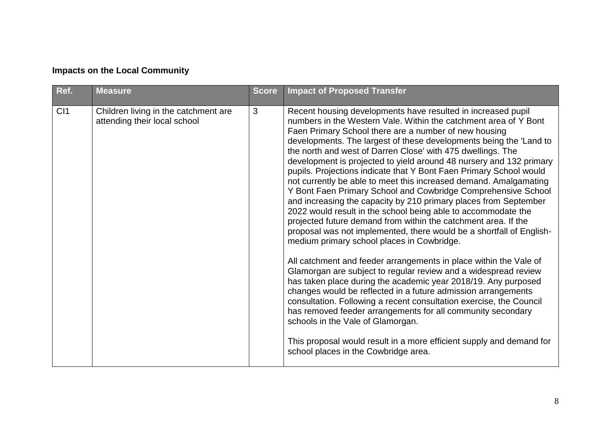| Ref.            | <b>Measure</b>                                                       | <b>Score</b> | <b>Impact of Proposed Transfer</b>                                                                                                                                                                                                                                                                                                                                                                                                                                                                                                                                                                                                                                                                                                                                                                                                                                                                                                                                                                                                                                                                                                                                                                                                                                                                                                                                                                   |
|-----------------|----------------------------------------------------------------------|--------------|------------------------------------------------------------------------------------------------------------------------------------------------------------------------------------------------------------------------------------------------------------------------------------------------------------------------------------------------------------------------------------------------------------------------------------------------------------------------------------------------------------------------------------------------------------------------------------------------------------------------------------------------------------------------------------------------------------------------------------------------------------------------------------------------------------------------------------------------------------------------------------------------------------------------------------------------------------------------------------------------------------------------------------------------------------------------------------------------------------------------------------------------------------------------------------------------------------------------------------------------------------------------------------------------------------------------------------------------------------------------------------------------------|
| C <sub>11</sub> | Children living in the catchment are<br>attending their local school | 3            | Recent housing developments have resulted in increased pupil<br>numbers in the Western Vale. Within the catchment area of Y Bont<br>Faen Primary School there are a number of new housing<br>developments. The largest of these developments being the 'Land to<br>the north and west of Darren Close' with 475 dwellings. The<br>development is projected to yield around 48 nursery and 132 primary<br>pupils. Projections indicate that Y Bont Faen Primary School would<br>not currently be able to meet this increased demand. Amalgamating<br>Y Bont Faen Primary School and Cowbridge Comprehensive School<br>and increasing the capacity by 210 primary places from September<br>2022 would result in the school being able to accommodate the<br>projected future demand from within the catchment area. If the<br>proposal was not implemented, there would be a shortfall of English-<br>medium primary school places in Cowbridge.<br>All catchment and feeder arrangements in place within the Vale of<br>Glamorgan are subject to regular review and a widespread review<br>has taken place during the academic year 2018/19. Any purposed<br>changes would be reflected in a future admission arrangements<br>consultation. Following a recent consultation exercise, the Council<br>has removed feeder arrangements for all community secondary<br>schools in the Vale of Glamorgan. |
|                 |                                                                      |              | This proposal would result in a more efficient supply and demand for<br>school places in the Cowbridge area.                                                                                                                                                                                                                                                                                                                                                                                                                                                                                                                                                                                                                                                                                                                                                                                                                                                                                                                                                                                                                                                                                                                                                                                                                                                                                         |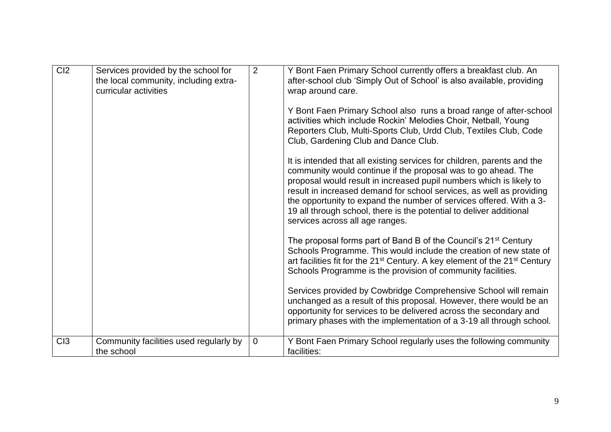| Cl <sub>2</sub> | Services provided by the school for<br>the local community, including extra-<br>curricular activities | $\overline{2}$ | Y Bont Faen Primary School currently offers a breakfast club. An<br>after-school club 'Simply Out of School' is also available, providing<br>wrap around care.<br>Y Bont Faen Primary School also runs a broad range of after-school<br>activities which include Rockin' Melodies Choir, Netball, Young<br>Reporters Club, Multi-Sports Club, Urdd Club, Textiles Club, Code<br>Club, Gardening Club and Dance Club.<br>It is intended that all existing services for children, parents and the |
|-----------------|-------------------------------------------------------------------------------------------------------|----------------|-------------------------------------------------------------------------------------------------------------------------------------------------------------------------------------------------------------------------------------------------------------------------------------------------------------------------------------------------------------------------------------------------------------------------------------------------------------------------------------------------|
|                 |                                                                                                       |                | community would continue if the proposal was to go ahead. The<br>proposal would result in increased pupil numbers which is likely to<br>result in increased demand for school services, as well as providing<br>the opportunity to expand the number of services offered. With a 3-<br>19 all through school, there is the potential to deliver additional<br>services across all age ranges.                                                                                                   |
|                 |                                                                                                       |                | The proposal forms part of Band B of the Council's 21 <sup>st</sup> Century<br>Schools Programme. This would include the creation of new state of<br>art facilities fit for the 21 <sup>st</sup> Century. A key element of the 21 <sup>st</sup> Century<br>Schools Programme is the provision of community facilities.                                                                                                                                                                          |
|                 |                                                                                                       |                | Services provided by Cowbridge Comprehensive School will remain<br>unchanged as a result of this proposal. However, there would be an<br>opportunity for services to be delivered across the secondary and<br>primary phases with the implementation of a 3-19 all through school.                                                                                                                                                                                                              |
| C13             | Community facilities used regularly by<br>the school                                                  | $\mathbf 0$    | Y Bont Faen Primary School regularly uses the following community<br>facilities:                                                                                                                                                                                                                                                                                                                                                                                                                |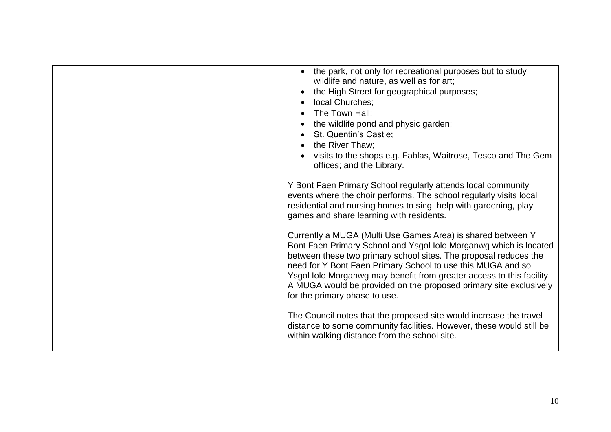| • the park, not only for recreational purposes but to study<br>wildlife and nature, as well as for art;<br>the High Street for geographical purposes;<br>local Churches;<br>• The Town Hall;<br>the wildlife pond and physic garden;<br>St. Quentin's Castle;<br>the River Thaw;<br>visits to the shops e.g. Fablas, Waitrose, Tesco and The Gem<br>offices; and the Library.<br>Y Bont Faen Primary School regularly attends local community<br>events where the choir performs. The school regularly visits local<br>residential and nursing homes to sing, help with gardening, play<br>games and share learning with residents.               |
|---------------------------------------------------------------------------------------------------------------------------------------------------------------------------------------------------------------------------------------------------------------------------------------------------------------------------------------------------------------------------------------------------------------------------------------------------------------------------------------------------------------------------------------------------------------------------------------------------------------------------------------------------|
| Currently a MUGA (Multi Use Games Area) is shared between Y<br>Bont Faen Primary School and Ysgol Iolo Morganwg which is located<br>between these two primary school sites. The proposal reduces the<br>need for Y Bont Faen Primary School to use this MUGA and so<br>Ysgol Iolo Morganwg may benefit from greater access to this facility.<br>A MUGA would be provided on the proposed primary site exclusively<br>for the primary phase to use.<br>The Council notes that the proposed site would increase the travel<br>distance to some community facilities. However, these would still be<br>within walking distance from the school site. |
|                                                                                                                                                                                                                                                                                                                                                                                                                                                                                                                                                                                                                                                   |
|                                                                                                                                                                                                                                                                                                                                                                                                                                                                                                                                                                                                                                                   |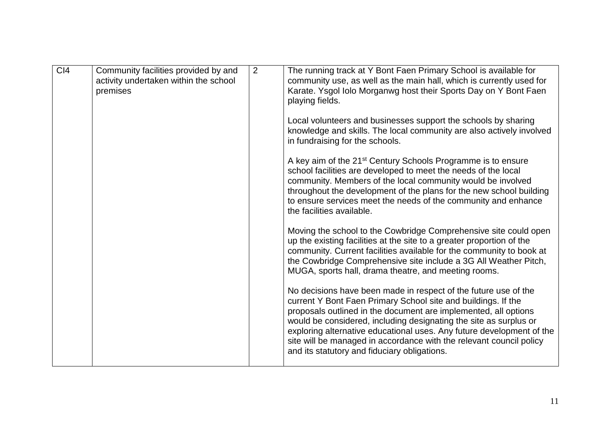| C <sub>14</sub> | Community facilities provided by and<br>activity undertaken within the school<br>premises | $\overline{2}$ | The running track at Y Bont Faen Primary School is available for<br>community use, as well as the main hall, which is currently used for<br>Karate. Ysgol Iolo Morganwg host their Sports Day on Y Bont Faen<br>playing fields.                                                                                                                                                                                                                                          |
|-----------------|-------------------------------------------------------------------------------------------|----------------|--------------------------------------------------------------------------------------------------------------------------------------------------------------------------------------------------------------------------------------------------------------------------------------------------------------------------------------------------------------------------------------------------------------------------------------------------------------------------|
|                 |                                                                                           |                | Local volunteers and businesses support the schools by sharing<br>knowledge and skills. The local community are also actively involved<br>in fundraising for the schools.                                                                                                                                                                                                                                                                                                |
|                 |                                                                                           |                | A key aim of the 21 <sup>st</sup> Century Schools Programme is to ensure<br>school facilities are developed to meet the needs of the local<br>community. Members of the local community would be involved<br>throughout the development of the plans for the new school building<br>to ensure services meet the needs of the community and enhance<br>the facilities available.                                                                                          |
|                 |                                                                                           |                | Moving the school to the Cowbridge Comprehensive site could open<br>up the existing facilities at the site to a greater proportion of the<br>community. Current facilities available for the community to book at<br>the Cowbridge Comprehensive site include a 3G All Weather Pitch,<br>MUGA, sports hall, drama theatre, and meeting rooms.                                                                                                                            |
|                 |                                                                                           |                | No decisions have been made in respect of the future use of the<br>current Y Bont Faen Primary School site and buildings. If the<br>proposals outlined in the document are implemented, all options<br>would be considered, including designating the site as surplus or<br>exploring alternative educational uses. Any future development of the<br>site will be managed in accordance with the relevant council policy<br>and its statutory and fiduciary obligations. |
|                 |                                                                                           |                |                                                                                                                                                                                                                                                                                                                                                                                                                                                                          |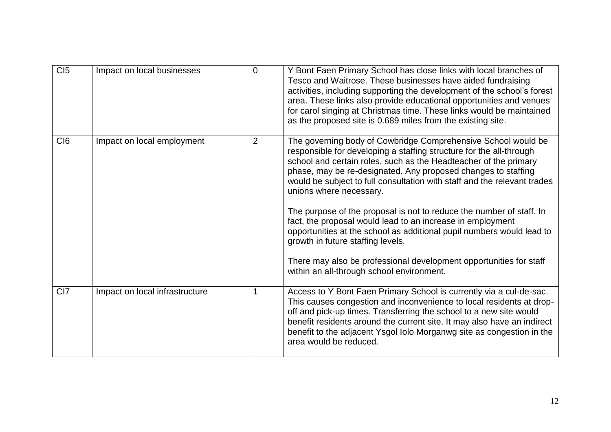| CI5             | Impact on local businesses     | 0 | Y Bont Faen Primary School has close links with local branches of<br>Tesco and Waitrose. These businesses have aided fundraising<br>activities, including supporting the development of the school's forest<br>area. These links also provide educational opportunities and venues<br>for carol singing at Christmas time. These links would be maintained<br>as the proposed site is 0.689 miles from the existing site.                                                                                                                                                                                                                                                                                                                               |
|-----------------|--------------------------------|---|---------------------------------------------------------------------------------------------------------------------------------------------------------------------------------------------------------------------------------------------------------------------------------------------------------------------------------------------------------------------------------------------------------------------------------------------------------------------------------------------------------------------------------------------------------------------------------------------------------------------------------------------------------------------------------------------------------------------------------------------------------|
| CI <sub>6</sub> | Impact on local employment     | 2 | The governing body of Cowbridge Comprehensive School would be<br>responsible for developing a staffing structure for the all-through<br>school and certain roles, such as the Headteacher of the primary<br>phase, may be re-designated. Any proposed changes to staffing<br>would be subject to full consultation with staff and the relevant trades<br>unions where necessary.<br>The purpose of the proposal is not to reduce the number of staff. In<br>fact, the proposal would lead to an increase in employment<br>opportunities at the school as additional pupil numbers would lead to<br>growth in future staffing levels.<br>There may also be professional development opportunities for staff<br>within an all-through school environment. |
| CI <sub>7</sub> | Impact on local infrastructure |   | Access to Y Bont Faen Primary School is currently via a cul-de-sac.<br>This causes congestion and inconvenience to local residents at drop-<br>off and pick-up times. Transferring the school to a new site would<br>benefit residents around the current site. It may also have an indirect<br>benefit to the adjacent Ysgol Iolo Morganwg site as congestion in the<br>area would be reduced.                                                                                                                                                                                                                                                                                                                                                         |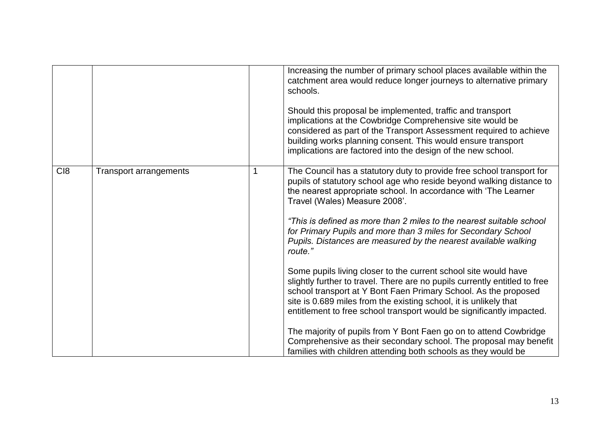|                 |                               | Increasing the number of primary school places available within the<br>catchment area would reduce longer journeys to alternative primary<br>schools.<br>Should this proposal be implemented, traffic and transport<br>implications at the Cowbridge Comprehensive site would be<br>considered as part of the Transport Assessment required to achieve<br>building works planning consent. This would ensure transport<br>implications are factored into the design of the new school.                                                                                     |
|-----------------|-------------------------------|----------------------------------------------------------------------------------------------------------------------------------------------------------------------------------------------------------------------------------------------------------------------------------------------------------------------------------------------------------------------------------------------------------------------------------------------------------------------------------------------------------------------------------------------------------------------------|
| C <sub>18</sub> | <b>Transport arrangements</b> | The Council has a statutory duty to provide free school transport for<br>pupils of statutory school age who reside beyond walking distance to<br>the nearest appropriate school. In accordance with 'The Learner<br>Travel (Wales) Measure 2008'.<br>"This is defined as more than 2 miles to the nearest suitable school<br>for Primary Pupils and more than 3 miles for Secondary School<br>Pupils. Distances are measured by the nearest available walking<br>route."                                                                                                   |
|                 |                               | Some pupils living closer to the current school site would have<br>slightly further to travel. There are no pupils currently entitled to free<br>school transport at Y Bont Faen Primary School. As the proposed<br>site is 0.689 miles from the existing school, it is unlikely that<br>entitlement to free school transport would be significantly impacted.<br>The majority of pupils from Y Bont Faen go on to attend Cowbridge<br>Comprehensive as their secondary school. The proposal may benefit<br>families with children attending both schools as they would be |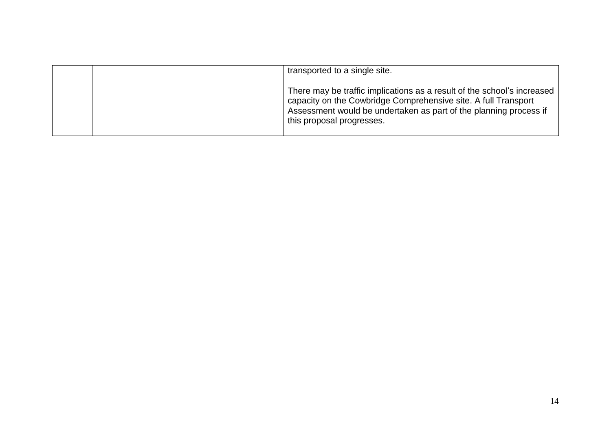| transported to a single site.                                                                                                                                                                                                               |
|---------------------------------------------------------------------------------------------------------------------------------------------------------------------------------------------------------------------------------------------|
| There may be traffic implications as a result of the school's increased<br>capacity on the Cowbridge Comprehensive site. A full Transport<br>Assessment would be undertaken as part of the planning process if<br>this proposal progresses. |